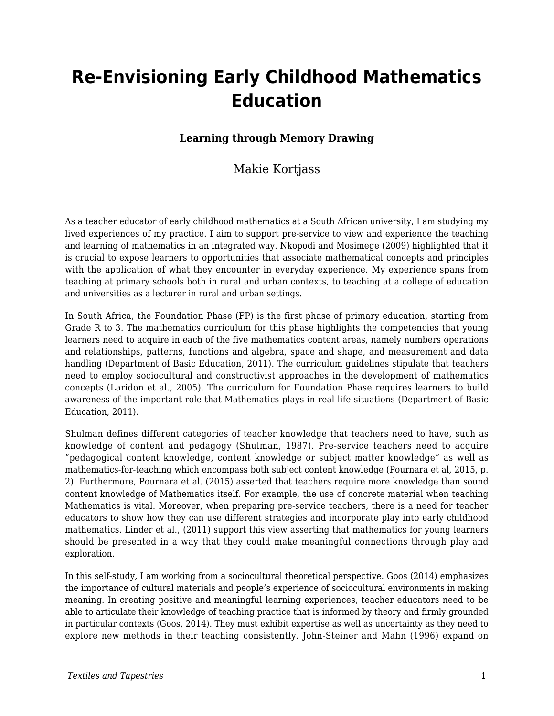# **Re-Envisioning Early Childhood Mathematics Education**

## **Learning through Memory Drawing**

## Makie Kortjass

As a teacher educator of early childhood mathematics at a South African university, I am studying my lived experiences of my practice. I aim to support pre-service to view and experience the teaching and learning of mathematics in an integrated way. Nkopodi and Mosimege (2009) highlighted that it is crucial to expose learners to opportunities that associate mathematical concepts and principles with the application of what they encounter in everyday experience. My experience spans from teaching at primary schools both in rural and urban contexts, to teaching at a college of education and universities as a lecturer in rural and urban settings.

In South Africa, the Foundation Phase (FP) is the first phase of primary education, starting from Grade R to 3. The mathematics curriculum for this phase highlights the competencies that young learners need to acquire in each of the five mathematics content areas, namely numbers operations and relationships, patterns, functions and algebra, space and shape, and measurement and data handling (Department of Basic Education, 2011). The curriculum guidelines stipulate that teachers need to employ sociocultural and constructivist approaches in the development of mathematics concepts (Laridon et al., 2005). The curriculum for Foundation Phase requires learners to build awareness of the important role that Mathematics plays in real-life situations (Department of Basic Education, 2011).

Shulman defines different categories of teacher knowledge that teachers need to have, such as knowledge of content and pedagogy (Shulman, 1987). Pre-service teachers need to acquire "pedagogical content knowledge, content knowledge or subject matter knowledge" as well as mathematics-for-teaching which encompass both subject content knowledge (Pournara et al, 2015, p. 2). Furthermore, Pournara et al. (2015) asserted that teachers require more knowledge than sound content knowledge of Mathematics itself. For example, the use of concrete material when teaching Mathematics is vital. Moreover, when preparing pre-service teachers, there is a need for teacher educators to show how they can use different strategies and incorporate play into early childhood mathematics. Linder et al., (2011) support this view asserting that mathematics for young learners should be presented in a way that they could make meaningful connections through play and exploration.

In this self-study, I am working from a sociocultural theoretical perspective. Goos (2014) emphasizes the importance of cultural materials and people's experience of sociocultural environments in making meaning. In creating positive and meaningful learning experiences, teacher educators need to be able to articulate their knowledge of teaching practice that is informed by theory and firmly grounded in particular contexts (Goos, 2014). They must exhibit expertise as well as uncertainty as they need to explore new methods in their teaching consistently. John-Steiner and Mahn (1996) expand on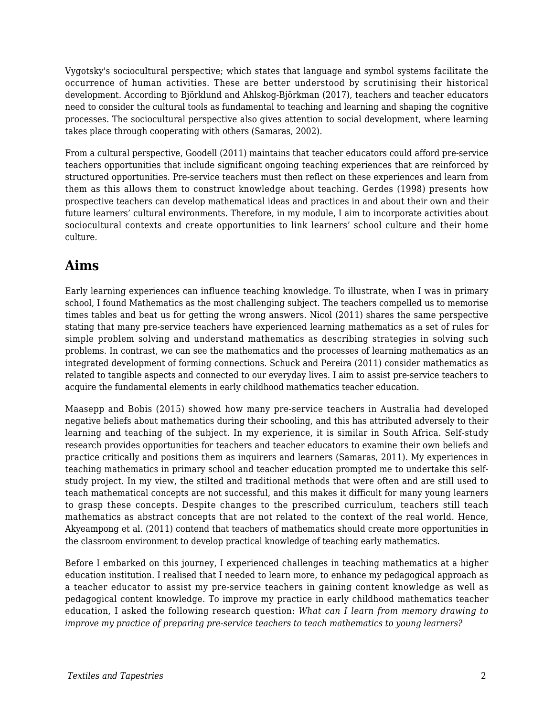Vygotsky's sociocultural perspective; which states that language and symbol systems facilitate the occurrence of human activities. These are better understood by scrutinising their historical development. According to Björklund and Ahlskog-Björkman (2017), teachers and teacher educators need to consider the cultural tools as fundamental to teaching and learning and shaping the cognitive processes. The sociocultural perspective also gives attention to social development, where learning takes place through cooperating with others (Samaras, 2002).

From a cultural perspective, Goodell (2011) maintains that teacher educators could afford pre-service teachers opportunities that include significant ongoing teaching experiences that are reinforced by structured opportunities. Pre-service teachers must then reflect on these experiences and learn from them as this allows them to construct knowledge about teaching. Gerdes (1998) presents how prospective teachers can develop mathematical ideas and practices in and about their own and their future learners' cultural environments. Therefore, in my module, I aim to incorporate activities about sociocultural contexts and create opportunities to link learners' school culture and their home culture.

## **Aims**

Early learning experiences can influence teaching knowledge. To illustrate, when I was in primary school, I found Mathematics as the most challenging subject. The teachers compelled us to memorise times tables and beat us for getting the wrong answers. Nicol (2011) shares the same perspective stating that many pre-service teachers have experienced learning mathematics as a set of rules for simple problem solving and understand mathematics as describing strategies in solving such problems. In contrast, we can see the mathematics and the processes of learning mathematics as an integrated development of forming connections. Schuck and Pereira (2011) consider mathematics as related to tangible aspects and connected to our everyday lives. I aim to assist pre-service teachers to acquire the fundamental elements in early childhood mathematics teacher education.

Maasepp and Bobis (2015) showed how many pre-service teachers in Australia had developed negative beliefs about mathematics during their schooling, and this has attributed adversely to their learning and teaching of the subject. In my experience, it is similar in South Africa. Self-study research provides opportunities for teachers and teacher educators to examine their own beliefs and practice critically and positions them as inquirers and learners (Samaras, 2011). My experiences in teaching mathematics in primary school and teacher education prompted me to undertake this selfstudy project. In my view, the stilted and traditional methods that were often and are still used to teach mathematical concepts are not successful, and this makes it difficult for many young learners to grasp these concepts. Despite changes to the prescribed curriculum, teachers still teach mathematics as abstract concepts that are not related to the context of the real world. Hence, Akyeampong et al. (2011) contend that teachers of mathematics should create more opportunities in the classroom environment to develop practical knowledge of teaching early mathematics.

Before I embarked on this journey, I experienced challenges in teaching mathematics at a higher education institution. I realised that I needed to learn more, to enhance my pedagogical approach as a teacher educator to assist my pre-service teachers in gaining content knowledge as well as pedagogical content knowledge. To improve my practice in early childhood mathematics teacher education, I asked the following research question: *What can I learn from memory drawing to improve my practice of preparing pre-service teachers to teach mathematics to young learners?*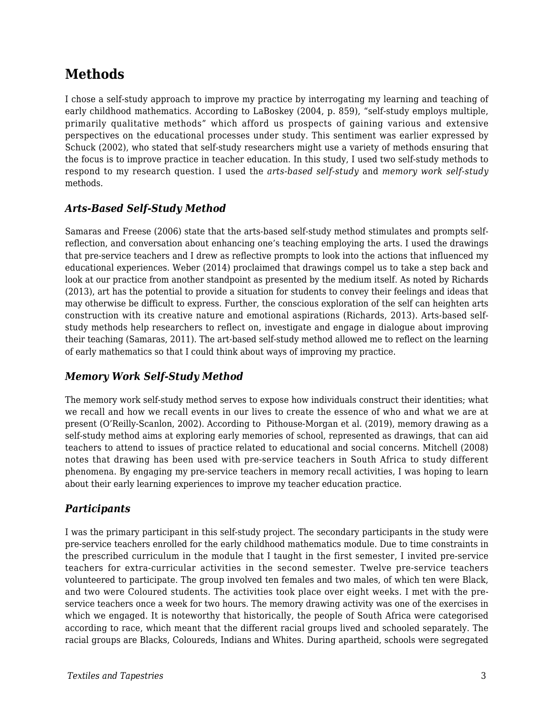## **Methods**

I chose a self-study approach to improve my practice by interrogating my learning and teaching of early childhood mathematics. According to LaBoskey (2004, p. 859), "self-study employs multiple, primarily qualitative methods" which afford us prospects of gaining various and extensive perspectives on the educational processes under study. This sentiment was earlier expressed by Schuck (2002), who stated that self-study researchers might use a variety of methods ensuring that the focus is to improve practice in teacher education. In this study, I used two self-study methods to respond to my research question. I used the *arts-based self-study* and *memory work self-study* methods*.*

### *Arts-Based Self-Study Method*

Samaras and Freese (2006) state that the arts-based self-study method stimulates and prompts selfreflection, and conversation about enhancing one's teaching employing the arts. I used the drawings that pre-service teachers and I drew as reflective prompts to look into the actions that influenced my educational experiences. Weber (2014) proclaimed that drawings compel us to take a step back and look at our practice from another standpoint as presented by the medium itself. As noted by Richards (2013), art has the potential to provide a situation for students to convey their feelings and ideas that may otherwise be difficult to express. Further, the conscious exploration of the self can heighten arts construction with its creative nature and emotional aspirations (Richards, 2013). Arts-based selfstudy methods help researchers to reflect on, investigate and engage in dialogue about improving their teaching (Samaras, 2011). The art-based self-study method allowed me to reflect on the learning of early mathematics so that I could think about ways of improving my practice.

## *Memory Work Self-Study Method*

The memory work self-study method serves to expose how individuals construct their identities; what we recall and how we recall events in our lives to create the essence of who and what we are at present (O'Reilly-Scanlon, 2002). According to Pithouse-Morgan et al. (2019), memory drawing as a self-study method aims at exploring early memories of school, represented as drawings, that can aid teachers to attend to issues of practice related to educational and social concerns. Mitchell (2008) notes that drawing has been used with pre-service teachers in South Africa to study different phenomena. By engaging my pre-service teachers in memory recall activities, I was hoping to learn about their early learning experiences to improve my teacher education practice.

### *Participants*

I was the primary participant in this self-study project. The secondary participants in the study were pre-service teachers enrolled for the early childhood mathematics module. Due to time constraints in the prescribed curriculum in the module that I taught in the first semester, I invited pre-service teachers for extra-curricular activities in the second semester. Twelve pre-service teachers volunteered to participate. The group involved ten females and two males, of which ten were Black, and two were Coloured students. The activities took place over eight weeks. I met with the preservice teachers once a week for two hours. The memory drawing activity was one of the exercises in which we engaged. It is noteworthy that historically, the people of South Africa were categorised according to race, which meant that the different racial groups lived and schooled separately. The racial groups are Blacks, Coloureds, Indians and Whites. During apartheid, schools were segregated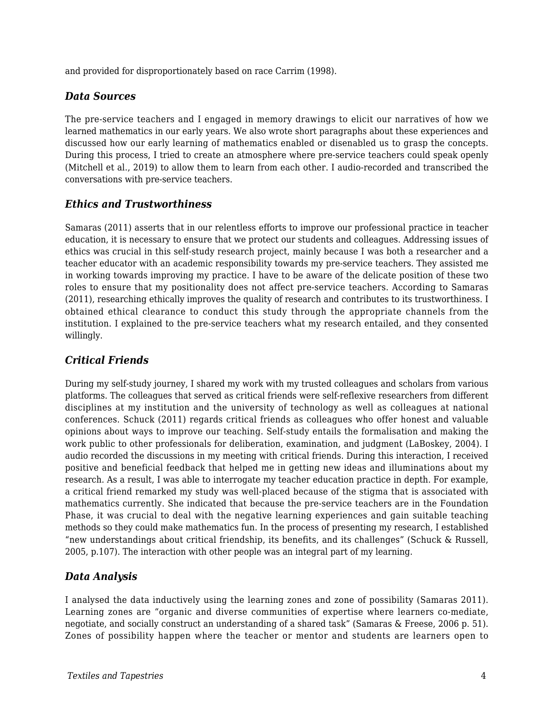and provided for disproportionately based on race Carrim (1998).

### *Data Sources*

The pre-service teachers and I engaged in memory drawings to elicit our narratives of how we learned mathematics in our early years. We also wrote short paragraphs about these experiences and discussed how our early learning of mathematics enabled or disenabled us to grasp the concepts. During this process, I tried to create an atmosphere where pre-service teachers could speak openly (Mitchell et al., 2019) to allow them to learn from each other. I audio-recorded and transcribed the conversations with pre-service teachers.

### *Ethics and Trustworthiness*

Samaras (2011) asserts that in our relentless efforts to improve our professional practice in teacher education, it is necessary to ensure that we protect our students and colleagues. Addressing issues of ethics was crucial in this self-study research project, mainly because I was both a researcher and a teacher educator with an academic responsibility towards my pre-service teachers. They assisted me in working towards improving my practice. I have to be aware of the delicate position of these two roles to ensure that my positionality does not affect pre-service teachers. According to Samaras (2011), researching ethically improves the quality of research and contributes to its trustworthiness. I obtained ethical clearance to conduct this study through the appropriate channels from the institution. I explained to the pre-service teachers what my research entailed, and they consented willingly.

### *Critical Friends*

During my self-study journey, I shared my work with my trusted colleagues and scholars from various platforms. The colleagues that served as critical friends were self-reflexive researchers from different disciplines at my institution and the university of technology as well as colleagues at national conferences. Schuck (2011) regards critical friends as colleagues who offer honest and valuable opinions about ways to improve our teaching. Self-study entails the formalisation and making the work public to other professionals for deliberation, examination, and judgment (LaBoskey, 2004). I audio recorded the discussions in my meeting with critical friends. During this interaction, I received positive and beneficial feedback that helped me in getting new ideas and illuminations about my research. As a result, I was able to interrogate my teacher education practice in depth. For example, a critical friend remarked my study was well-placed because of the stigma that is associated with mathematics currently. She indicated that because the pre-service teachers are in the Foundation Phase, it was crucial to deal with the negative learning experiences and gain suitable teaching methods so they could make mathematics fun. In the process of presenting my research, I established "new understandings about critical friendship, its benefits, and its challenges" (Schuck & Russell, 2005, p.107). The interaction with other people was an integral part of my learning.

#### *Data Analysis*

I analysed the data inductively using the learning zones and zone of possibility (Samaras 2011). Learning zones are "organic and diverse communities of expertise where learners co-mediate, negotiate, and socially construct an understanding of a shared task" (Samaras & Freese, 2006 p. 51). Zones of possibility happen where the teacher or mentor and students are learners open to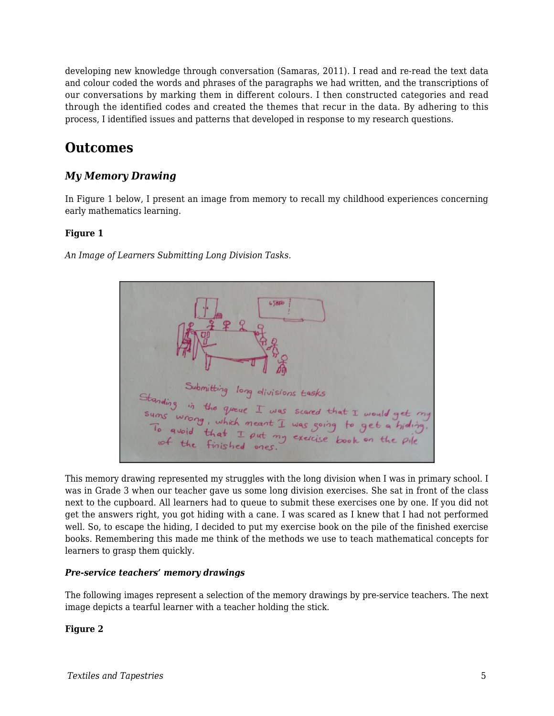developing new knowledge through conversation (Samaras, 2011). I read and re-read the text data and colour coded the words and phrases of the paragraphs we had written, and the transcriptions of our conversations by marking them in different colours. I then constructed categories and read through the identified codes and created the themes that recur in the data. By adhering to this process, I identified issues and patterns that developed in response to my research questions.

## **Outcomes**

## *My Memory Drawing*

In Figure 1 below, I present an image from memory to recall my childhood experiences concerning early mathematics learning.

#### **Figure 1**

*An Image of Learners Submitting Long Division Tasks.*



This memory drawing represented my struggles with the long division when I was in primary school. I was in Grade 3 when our teacher gave us some long division exercises. She sat in front of the class next to the cupboard. All learners had to queue to submit these exercises one by one. If you did not get the answers right, you got hiding with a cane. I was scared as I knew that I had not performed well. So, to escape the hiding, I decided to put my exercise book on the pile of the finished exercise books. Remembering this made me think of the methods we use to teach mathematical concepts for learners to grasp them quickly.

#### *Pre-service teachers' memory drawings*

The following images represent a selection of the memory drawings by pre-service teachers. The next image depicts a tearful learner with a teacher holding the stick.

#### **Figure 2**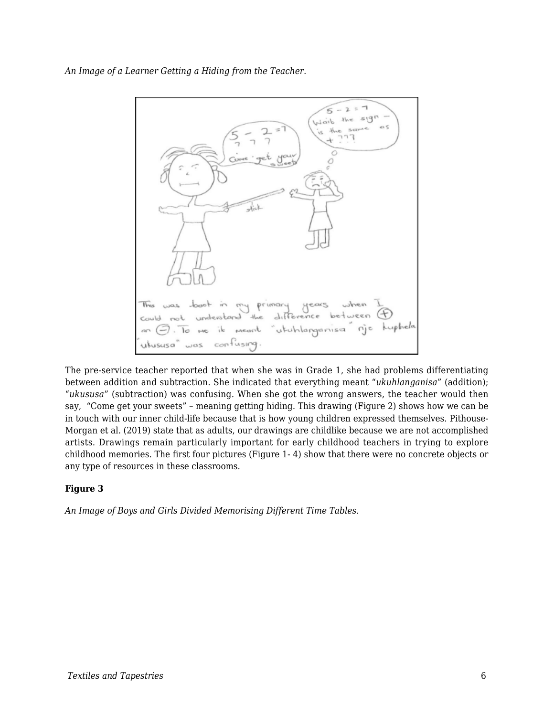*An Image of a Learner Getting a Hiding from the Teacher.*



The pre-service teacher reported that when she was in Grade 1, she had problems differentiating between addition and subtraction. She indicated that everything meant "*ukuhlanganisa*" (addition); "*ukususa*" (subtraction) was confusing. When she got the wrong answers, the teacher would then say, "Come get your sweets" – meaning getting hiding. This drawing (Figure 2) shows how we can be in touch with our inner child-life because that is how young children expressed themselves. Pithouse-Morgan et al. (2019) state that as adults, our drawings are childlike because we are not accomplished artists. Drawings remain particularly important for early childhood teachers in trying to explore childhood memories. The first four pictures (Figure 1- 4) show that there were no concrete objects or any type of resources in these classrooms.

#### **Figure 3**

*An Image of Boys and Girls Divided Memorising Different Time Tables.*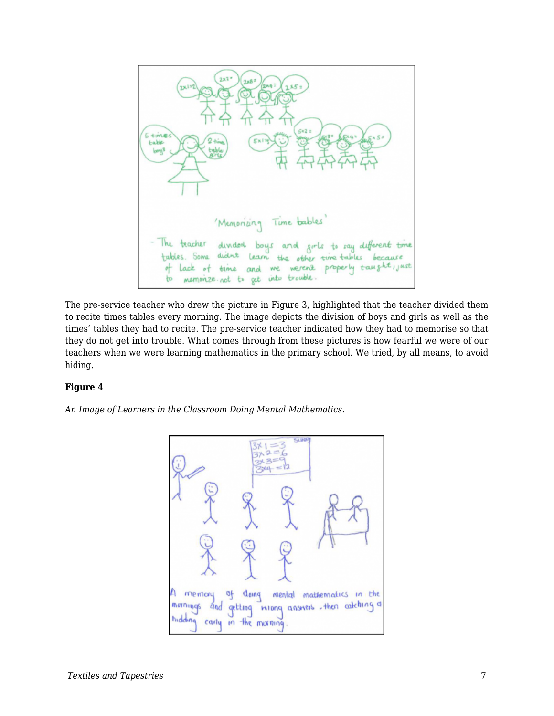

The pre-service teacher who drew the picture in Figure 3, highlighted that the teacher divided them to recite times tables every morning. The image depicts the division of boys and girls as well as the times' tables they had to recite. The pre-service teacher indicated how they had to memorise so that they do not get into trouble. What comes through from these pictures is how fearful we were of our teachers when we were learning mathematics in the primary school. We tried, by all means, to avoid hiding.

#### **Figure 4**

*An Image of Learners in the Classroom Doing Mental Mathematics.*

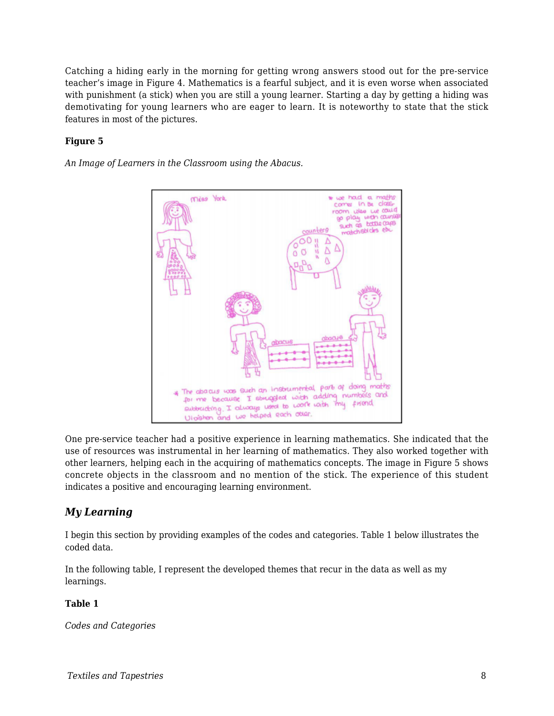Catching a hiding early in the morning for getting wrong answers stood out for the pre-service teacher's image in Figure 4. Mathematics is a fearful subject, and it is even worse when associated with punishment (a stick) when you are still a young learner. Starting a day by getting a hiding was demotivating for young learners who are eager to learn. It is noteworthy to state that the stick features in most of the pictures.

#### **Figure 5**

*An Image of Learners in the Classroom using the Abacus.*



One pre-service teacher had a positive experience in learning mathematics. She indicated that the use of resources was instrumental in her learning of mathematics. They also worked together with other learners, helping each in the acquiring of mathematics concepts. The image in Figure 5 shows concrete objects in the classroom and no mention of the stick. The experience of this student indicates a positive and encouraging learning environment.

### *My Learning*

I begin this section by providing examples of the codes and categories. Table 1 below illustrates the coded data.

In the following table, I represent the developed themes that recur in the data as well as my learnings.

#### **Table 1**

*Codes and Categories*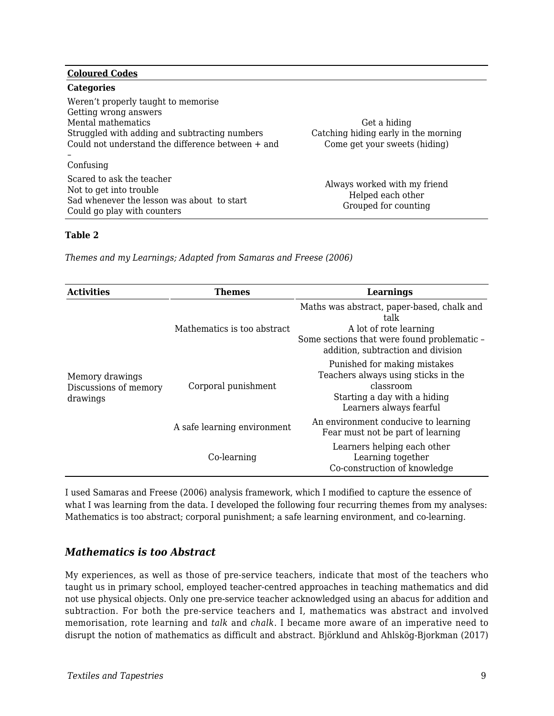#### **Coloured Codes**

| <b>Categories</b>                                 |                                                   |  |
|---------------------------------------------------|---------------------------------------------------|--|
| Weren't properly taught to memorise               |                                                   |  |
| Getting wrong answers                             |                                                   |  |
| Mental mathematics                                | Get a hiding                                      |  |
| Struggled with adding and subtracting numbers     | Catching hiding early in the morning              |  |
| Could not understand the difference between + and | Come get your sweets (hiding)                     |  |
|                                                   |                                                   |  |
| Confusing                                         |                                                   |  |
| Scared to ask the teacher                         |                                                   |  |
| Not to get into trouble                           | Always worked with my friend<br>Helped each other |  |
| Sad whenever the lesson was about to start        |                                                   |  |
| Could go play with counters                       | Grouped for counting                              |  |

#### **Table 2**

*Themes and my Learnings; Adapted from Samaras and Freese (2006)*

| <b>Activities</b>                                    | <b>Themes</b>               | Learnings                                                                                                                                                         |
|------------------------------------------------------|-----------------------------|-------------------------------------------------------------------------------------------------------------------------------------------------------------------|
| Memory drawings<br>Discussions of memory<br>drawings | Mathematics is too abstract | Maths was abstract, paper-based, chalk and<br>talk<br>A lot of rote learning<br>Some sections that were found problematic -<br>addition, subtraction and division |
|                                                      | Corporal punishment         | Punished for making mistakes<br>Teachers always using sticks in the<br>classroom<br>Starting a day with a hiding<br>Learners always fearful                       |
|                                                      | A safe learning environment | An environment conducive to learning<br>Fear must not be part of learning                                                                                         |
|                                                      | Co-learning                 | Learners helping each other<br>Learning together<br>Co-construction of knowledge                                                                                  |

I used Samaras and Freese (2006) analysis framework, which I modified to capture the essence of what I was learning from the data. I developed the following four recurring themes from my analyses: Mathematics is too abstract; corporal punishment; a safe learning environment, and co-learning.

#### *Mathematics is too Abstract*

My experiences, as well as those of pre-service teachers, indicate that most of the teachers who taught us in primary school, employed teacher-centred approaches in teaching mathematics and did not use physical objects. Only one pre-service teacher acknowledged using an abacus for addition and subtraction. For both the pre-service teachers and I, mathematics was abstract and involved memorisation, rote learning and *talk* and *chalk*. I became more aware of an imperative need to disrupt the notion of mathematics as difficult and abstract. Björklund and Ahlskög-Bjorkman (2017)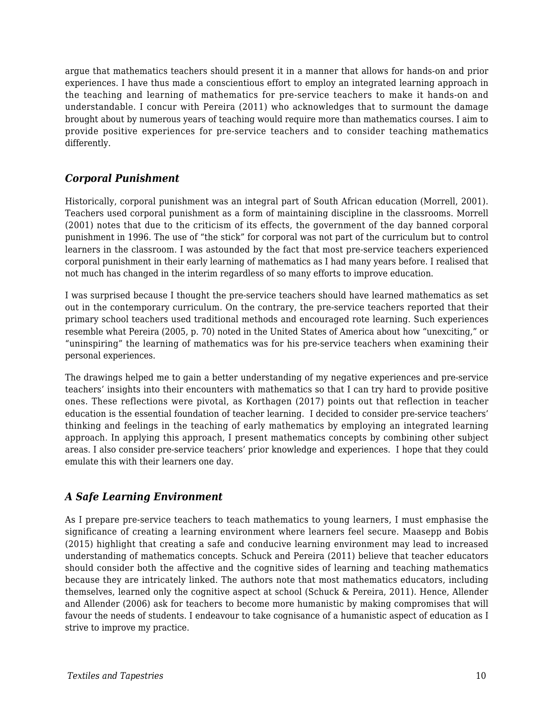argue that mathematics teachers should present it in a manner that allows for hands-on and prior experiences. I have thus made a conscientious effort to employ an integrated learning approach in the teaching and learning of mathematics for pre-service teachers to make it hands-on and understandable. I concur with Pereira (2011) who acknowledges that to surmount the damage brought about by numerous years of teaching would require more than mathematics courses. I aim to provide positive experiences for pre-service teachers and to consider teaching mathematics differently.

## *Corporal Punishment*

Historically, corporal punishment was an integral part of South African education (Morrell, 2001). Teachers used corporal punishment as a form of maintaining discipline in the classrooms. Morrell (2001) notes that due to the criticism of its effects, the government of the day banned corporal punishment in 1996. The use of "the stick" for corporal was not part of the curriculum but to control learners in the classroom. I was astounded by the fact that most pre-service teachers experienced corporal punishment in their early learning of mathematics as I had many years before. I realised that not much has changed in the interim regardless of so many efforts to improve education.

I was surprised because I thought the pre-service teachers should have learned mathematics as set out in the contemporary curriculum. On the contrary, the pre-service teachers reported that their primary school teachers used traditional methods and encouraged rote learning. Such experiences resemble what Pereira (2005, p. 70) noted in the United States of America about how "unexciting," or "uninspiring" the learning of mathematics was for his pre-service teachers when examining their personal experiences.

The drawings helped me to gain a better understanding of my negative experiences and pre-service teachers' insights into their encounters with mathematics so that I can try hard to provide positive ones. These reflections were pivotal, as Korthagen (2017) points out that reflection in teacher education is the essential foundation of teacher learning. I decided to consider pre-service teachers' thinking and feelings in the teaching of early mathematics by employing an integrated learning approach. In applying this approach, I present mathematics concepts by combining other subject areas. I also consider pre-service teachers' prior knowledge and experiences. I hope that they could emulate this with their learners one day.

## *A Safe Learning Environment*

As I prepare pre-service teachers to teach mathematics to young learners, I must emphasise the significance of creating a learning environment where learners feel secure. Maasepp and Bobis (2015) highlight that creating a safe and conducive learning environment may lead to increased understanding of mathematics concepts. Schuck and Pereira (2011) believe that teacher educators should consider both the affective and the cognitive sides of learning and teaching mathematics because they are intricately linked. The authors note that most mathematics educators, including themselves, learned only the cognitive aspect at school (Schuck & Pereira, 2011). Hence, Allender and Allender (2006) ask for teachers to become more humanistic by making compromises that will favour the needs of students. I endeavour to take cognisance of a humanistic aspect of education as I strive to improve my practice.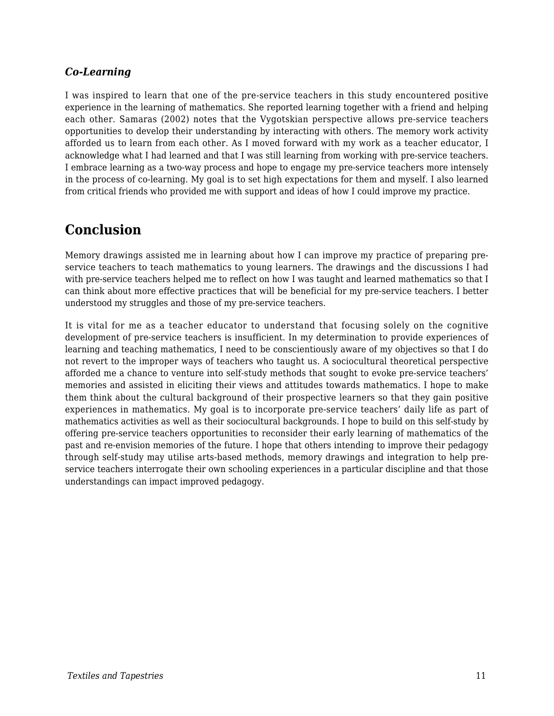## *Co-Learning*

I was inspired to learn that one of the pre-service teachers in this study encountered positive experience in the learning of mathematics. She reported learning together with a friend and helping each other. Samaras (2002) notes that the Vygotskian perspective allows pre-service teachers opportunities to develop their understanding by interacting with others. The memory work activity afforded us to learn from each other. As I moved forward with my work as a teacher educator, I acknowledge what I had learned and that I was still learning from working with pre-service teachers. I embrace learning as a two-way process and hope to engage my pre-service teachers more intensely in the process of co-learning. My goal is to set high expectations for them and myself. I also learned from critical friends who provided me with support and ideas of how I could improve my practice.

## **Conclusion**

Memory drawings assisted me in learning about how I can improve my practice of preparing preservice teachers to teach mathematics to young learners. The drawings and the discussions I had with pre-service teachers helped me to reflect on how I was taught and learned mathematics so that I can think about more effective practices that will be beneficial for my pre-service teachers. I better understood my struggles and those of my pre-service teachers.

It is vital for me as a teacher educator to understand that focusing solely on the cognitive development of pre-service teachers is insufficient. In my determination to provide experiences of learning and teaching mathematics, I need to be conscientiously aware of my objectives so that I do not revert to the improper ways of teachers who taught us. A sociocultural theoretical perspective afforded me a chance to venture into self-study methods that sought to evoke pre-service teachers' memories and assisted in eliciting their views and attitudes towards mathematics. I hope to make them think about the cultural background of their prospective learners so that they gain positive experiences in mathematics. My goal is to incorporate pre-service teachers' daily life as part of mathematics activities as well as their sociocultural backgrounds. I hope to build on this self-study by offering pre-service teachers opportunities to reconsider their early learning of mathematics of the past and re-envision memories of the future. I hope that others intending to improve their pedagogy through self-study may utilise arts-based methods, memory drawings and integration to help preservice teachers interrogate their own schooling experiences in a particular discipline and that those understandings can impact improved pedagogy.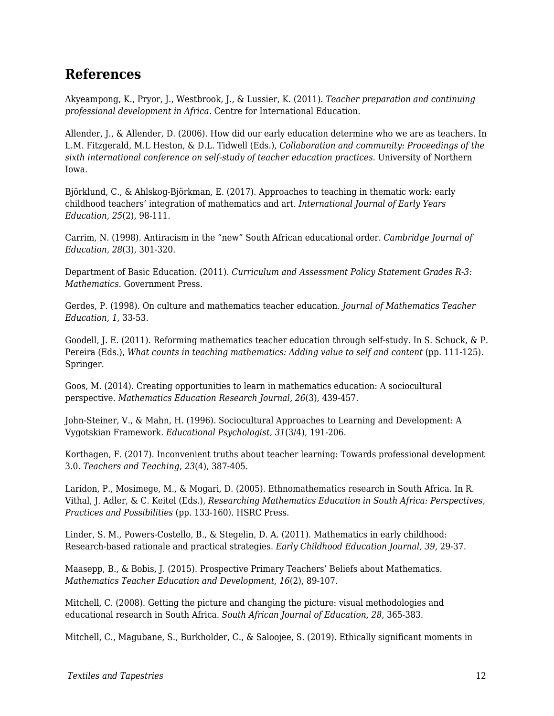## **References**

Akyeampong, K., Pryor, J., Westbrook, J., & Lussier, K. (2011). *Teacher preparation and continuing professional development in Africa*. Centre for International Education.

Allender, J., & Allender, D. (2006). How did our early education determine who we are as teachers. In L.M. Fitzgerald, M.L Heston, & D.L. Tidwell (Eds.), *Collaboration and community: Proceedings of the sixth international conference on self-study of teacher education practices.* University of Northern Iowa.

Björklund, C., & Ahlskog-Björkman, E. (2017). Approaches to teaching in thematic work: early childhood teachers' integration of mathematics and art. *International Journal of Early Years Education, 25*(2), 98-111.

Carrim, N. (1998). Antiracism in the "new" South African educational order. *Cambridge Journal of Education, 28*(3), 301-320.

Department of Basic Education. (2011). *Curriculum and Assessment Policy Statement Grades R-3: Mathematics*. Government Press.

Gerdes, P. (1998). On culture and mathematics teacher education. *Journal of Mathematics Teacher Education, 1,* 33-53.

Goodell, J. E. (2011). Reforming mathematics teacher education through self-study. In S. Schuck, & P. Pereira (Eds.), *What counts in teaching mathematics: Adding value to self and content* (pp. 111-125). Springer.

Goos, M. (2014). Creating opportunities to learn in mathematics education: A sociocultural perspective. *Mathematics Education Research Journal, 26*(3), 439-457.

John-Steiner, V., & Mahn, H. (1996). Sociocultural Approaches to Learning and Development: A Vygotskian Framework. *Educational Psychologist, 31*(3/4), 191-206.

Korthagen, F. (2017). Inconvenient truths about teacher learning: Towards professional development 3.0. *Teachers and Teaching, 23*(4), 387-405.

Laridon, P., Mosimege, M., & Mogari, D. (2005). Ethnomathematics research in South Africa. In R. Vithal, J. Adler, & C. Keitel (Eds.), *Researching Mathematics Education in South Africa: Perspectives, Practices and Possibilities* (pp. 133-160). HSRC Press.

Linder, S. M., Powers-Costello, B., & Stegelin, D. A. (2011). Mathematics in early childhood: Research-based rationale and practical strategies. *Early Childhood Education Journal, 39*, 29-37.

Maasepp, B., & Bobis, J. (2015). Prospective Primary Teachers' Beliefs about Mathematics. *Mathematics Teacher Education and Development, 16*(2), 89-107.

Mitchell, C. (2008). Getting the picture and changing the picture: visual methodologies and educational research in South Africa. *South African Journal of Education, 28*, 365-383.

Mitchell, C., Magubane, S., Burkholder, C., & Saloojee, S. (2019). Ethically significant moments in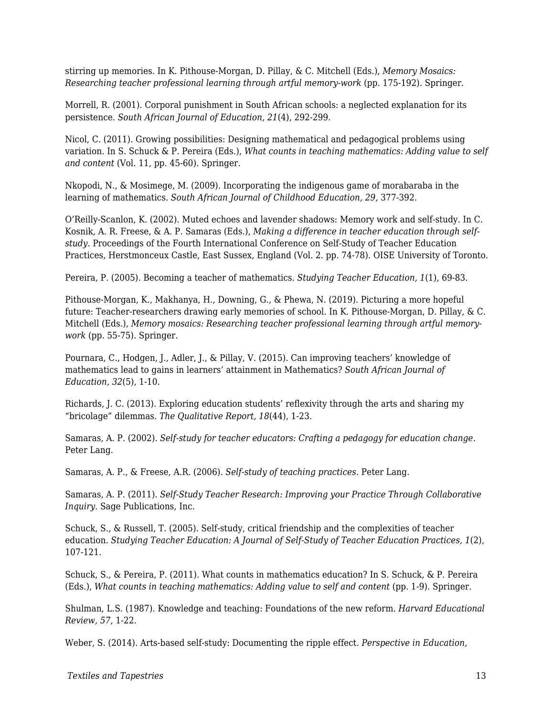stirring up memories. In K. Pithouse-Morgan, D. Pillay, & C. Mitchell (Eds.), *Memory Mosaics: Researching teacher professional learning through artful memory-work* (pp. 175-192). Springer.

Morrell, R. (2001). Corporal punishment in South African schools: a neglected explanation for its persistence. *South African Journal of Education, 21*(4), 292-299.

Nicol, C. (2011). Growing possibilities: Designing mathematical and pedagogical problems using variation. In S. Schuck & P. Pereira (Eds.), *What counts in teaching mathematics: Adding value to self and content* (Vol. 11, pp. 45-60). Springer.

Nkopodi, N., & Mosimege, M. (2009). Incorporating the indigenous game of morabaraba in the learning of mathematics. *South African Journal of Childhood Education, 29,* 377-392.

O'Reilly-Scanlon, K. (2002). Muted echoes and lavender shadows: Memory work and self-study. In C. Kosnik, A. R. Freese, & A. P. Samaras (Eds.), *Making a difference in teacher education through selfstudy*. Proceedings of the Fourth International Conference on Self-Study of Teacher Education Practices, Herstmonceux Castle, East Sussex, England (Vol. 2. pp. 74-78). OISE University of Toronto.

Pereira, P. (2005). Becoming a teacher of mathematics. *Studying Teacher Education, 1*(1), 69-83.

Pithouse-Morgan, K., Makhanya, H., Downing, G., & Phewa, N. (2019). Picturing a more hopeful future: Teacher-researchers drawing early memories of school. In K. Pithouse-Morgan, D. Pillay, & C. Mitchell (Eds.), *Memory mosaics: Researching teacher professional learning through artful memorywork* (pp. 55-75). Springer.

Pournara, C., Hodgen, J., Adler, J., & Pillay, V. (2015). Can improving teachers' knowledge of mathematics lead to gains in learners' attainment in Mathematics? *South African Journal of Education, 32*(5), 1-10.

Richards, J. C. (2013). Exploring education students' reflexivity through the arts and sharing my "bricolage" dilemmas. *The Qualitative Report, 18*(44), 1-23.

Samaras, A. P. (2002). *Self-study for teacher educators: Crafting a pedagogy for education change.* Peter Lang.

Samaras, A. P., & Freese, A.R. (2006). *Self-study of teaching practices*. Peter Lang.

Samaras, A. P. (2011). *Self-Study Teacher Research: Improving your Practice Through Collaborative Inquiry*. Sage Publications, Inc.

Schuck, S., & Russell, T. (2005). Self-study, critical friendship and the complexities of teacher education. *Studying Teacher Education: A Journal of Self-Study of Teacher Education Practices, 1*(2), 107-121.

Schuck, S., & Pereira, P. (2011). What counts in mathematics education? In S. Schuck, & P. Pereira (Eds.), *What counts in teaching mathematics: Adding value to self and content* (pp. 1-9). Springer.

Shulman, L.S. (1987). Knowledge and teaching: Foundations of the new reform. *Harvard Educational Review, 57,* 1-22.

Weber, S. (2014). Arts-based self-study: Documenting the ripple effect. *Perspective in Education,*